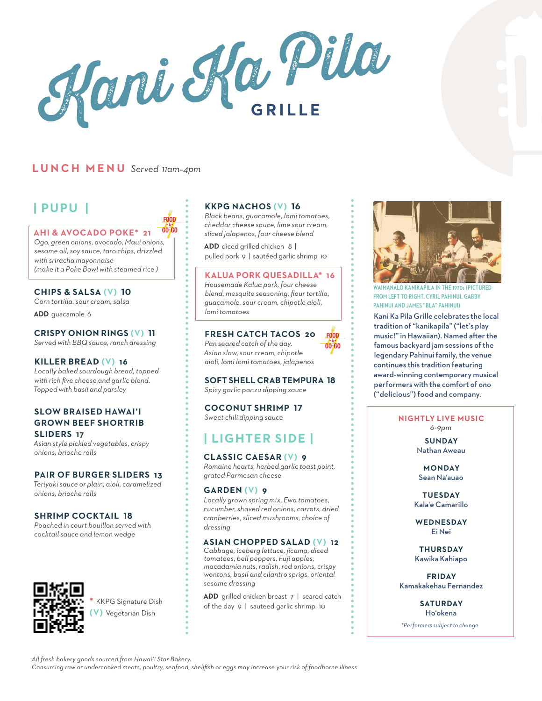

# **LUNCH MENU** *Served 11am–4pm*

 $GO-GO$ **AHI & AVOCADO POKE\* 21** *Ogo, green onions, avocado, Maui onions, sesame oil, soy sauce, taro chips, drizzled with sriracha mayonnaise (make it a Poke Bowl with steamed rice )*

**CHIPS & SALSA (V) 10** *Corn tortilla, sour cream, salsa*

**ADD** guacamole 6

**CRISPY ONION RINGS (V) 11** *Served with BBQ sauce, ranch dressing*

#### **KILLER BREAD (V) 16**

*Locally baked sourdough bread, topped with rich five cheese and garlic blend. Topped with basil and parsley*

#### **SLOW BRAISED HAWAI'I GROWN BEEF SHORTRIB SLIDERS 17**

*Asian style pickled vegetables, crispy onions, brioche rolls*

#### **PAIR OF BURGER SLIDERS 13**

*Teriyaki sauce or plain, aioli, caramelized onions, brioche rolls*

#### **SHRIMP COCKTAIL 18**

*Poached in court bouillon served with cocktail sauce and lemon wedge*



**\*** KKPG Signature Dish **(V)** Vegetarian Dish

## **| PUPU | KKPG NACHOS (V) 16**

*Black beans, guacamole, lomi tomatoes, cheddar cheese sauce, lime sour cream, sliced jalapenos, four cheese blend*

**ADD** diced grilled chicken 8 | pulled pork 9 | saut*é*ed garlic shrimp 10

**KALUA PORK QUESADILLA\* 16** *Housemade Kalua pork, four cheese blend, mesquite seasoning, flour tortilla, guacamole, sour cream, chipotle aioli, lomi tomatoes*

# **FRESH CATCH TACOS 20**

*Pan seared catch of the day, Asian slaw, sour cream, chipotle aioli, lomi lomi tomatoes, jalapenos*

**COCONUT SHRIMP 17** *Sweet chili dipping sauce*

**| LIGHTER SIDE |**

**CLASSIC CAESAR (V) 9** *Romaine hearts, herbed garlic toast point,* 

*Locally grown spring mix, Ewa tomatoes, cucumber, shaved red onions, carrots, dried cranberries, sliced mushrooms, choice of* 

**ASIAN CHOPPED SALAD (V) 12** *Cabbage, iceberg lettuce, jicama, diced tomatoes, bell peppers, Fuji apples, macadamia nuts, radish, red onions, crispy wontons, basil and cilantro sprigs, oriental* 

**ADD** grilled chicken breast 7 | seared catch of the day 9 | sauteed garlic shrimp 10

*grated Parmesan cheese* **GARDEN (V) 9**

*dressing*

*sesame dressing*

**SOFT SHELL CRAB TEMPURA 18** *Spicy garlic ponzu dipping sauce*







Kani Ka Pila Grille celebrates the local tradition of "kanikapila" ("let's play **WAIMANALO KANIKAPILA IN THE 1970s (PICTURED FROM LEFT TO RIGHT, CYRIL PAHINUI, GABBY PAHINUI AND JAMES "BLA" PAHINUI)**

music!" in Hawaiian). Named after the famous backyard jam sessions of the legendary Pahinui family, the venue continues this tradition featuring award-winning contemporary musical performers with the comfort of *ono* ("delicious") food and company.

#### **NIGHTLY LIVE MUSIC**

*6-9pm*

**SUNDAY** Nathan Aweau

**MONDAY** Sean Na'auao

**TUESDAY** Kala'e Camarillo

**WEDNESDAY** Ei Nei

**THURSDAY** Kawika Kahiapo

**FRIDAY** Kamakakehau Fernandez

> **SATURDAY** Ho'okena

*\*Performers subject to change*

*All fresh bakery goods sourced from Hawai'i Star Bakery.* 

*Consuming raw or undercooked meats, poultry, seafood, shellfish or eggs may increase your risk of foodborne illness*